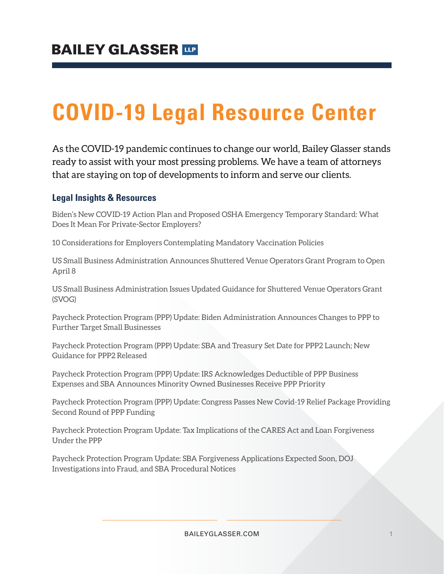# **COVID-19 Legal Resource Center**

As the COVID-19 pandemic continues to change our world, Bailey Glasser stands ready to assist with your most pressing problems. We have a team of attorneys that are staying on top of developments to inform and serve our clients.

### **Legal Insights & Resources**

Biden's New COVID-19 Action Plan and Proposed OSHA Emergency Temporary Standard: What Does It Mean For Private-Sector Employers?

10 Considerations for Employers Contemplating Mandatory Vaccination Policies

US Small Business Administration Announces Shuttered Venue Operators Grant Program to Open April 8

US Small Business Administration Issues Updated Guidance for Shuttered Venue Operators Grant (SVOG)

Paycheck Protection Program (PPP) Update: Biden Administration Announces Changes to PPP to Further Target Small Businesses

Paycheck Protection Program (PPP) Update: SBA and Treasury Set Date for PPP2 Launch; New Guidance for PPP2 Released

Paycheck Protection Program (PPP) Update: IRS Acknowledges Deductible of PPP Business Expenses and SBA Announces Minority Owned Businesses Receive PPP Priority

Paycheck Protection Program (PPP) Update: Congress Passes New Covid-19 Relief Package Providing Second Round of PPP Funding

Paycheck Protection Program Update: Tax Implications of the CARES Act and Loan Forgiveness Under the PPP

Paycheck Protection Program Update: SBA Forgiveness Applications Expected Soon, DOJ Investigations into Fraud, and SBA Procedural Notices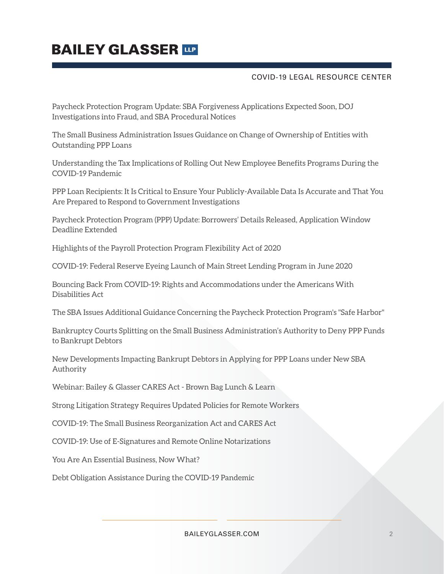### **BAILEY GLASSER TIP**

#### COVID-19 LEGAL RESOURCE CENTER

Paycheck Protection Program Update: SBA Forgiveness Applications Expected Soon, DOJ Investigations into Fraud, and SBA Procedural Notices

The Small Business Administration Issues Guidance on Change of Ownership of Entities with Outstanding PPP Loans

Understanding the Tax Implications of Rolling Out New Employee Benefits Programs During the COVID-19 Pandemic

PPP Loan Recipients: It Is Critical to Ensure Your Publicly-Available Data Is Accurate and That You Are Prepared to Respond to Government Investigations

Paycheck Protection Program (PPP) Update: Borrowers' Details Released, Application Window Deadline Extended

Highlights of the Payroll Protection Program Flexibility Act of 2020

COVID-19: Federal Reserve Eyeing Launch of Main Street Lending Program in June 2020

Bouncing Back From COVID-19: Rights and Accommodations under the Americans With Disabilities Act

The SBA Issues Additional Guidance Concerning the Paycheck Protection Program's "Safe Harbor"

Bankruptcy Courts Splitting on the Small Business Administration's Authority to Deny PPP Funds to Bankrupt Debtors

New Developments Impacting Bankrupt Debtors in Applying for PPP Loans under New SBA Authority

Webinar: Bailey & Glasser CARES Act - Brown Bag Lunch & Learn

Strong Litigation Strategy Requires Updated Policies for Remote Workers

COVID-19: The Small Business Reorganization Act and CARES Act

COVID-19: Use of E-Signatures and Remote Online Notarizations

You Are An Essential Business, Now What?

Debt Obligation Assistance During the COVID-19 Pandemic